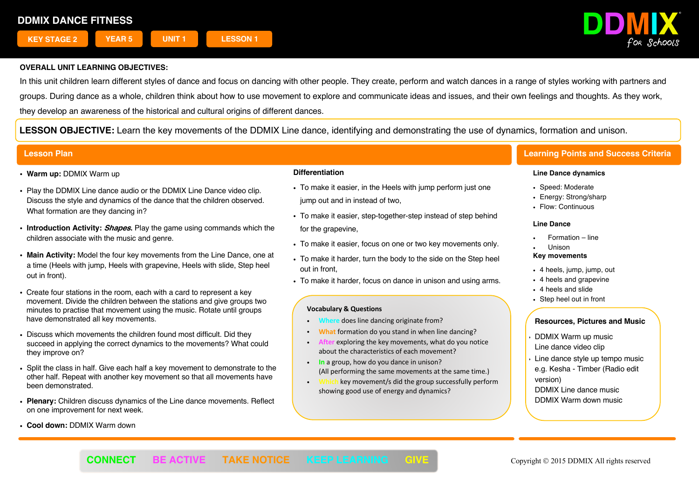

In this unit children learn different styles of dance and focus on dancing with other people. They create, perform and watch dances in a range of styles working with partners and groups. During dance as a whole, children think about how to use movement to explore and communicate ideas and issues, and their own feelings and thoughts. As they work, they develop an awareness of the historical and cultural origins of different dances.

**LESSON OBJECTIVE:** Learn the key movements of the DDMIX Line dance, identifying and demonstrating the use of dynamics, formation and unison.

- ! **Warm up:** DDMIX Warm up
- . Plav the DDMIX Line dance audio or the DDMIX Line Dance video clip. Discuss the style and dynamics of the dance that the children observed. What formation are they dancing in?
- ! **Introduction Activity: Shapes.** Play the game using commands which the children associate with the music and genre.
- ! **Main Activity:** Model the four key movements from the Line Dance, one at a time (Heels with jump, Heels with grapevine, Heels with slide, Step heel out in front).
- ! Create four stations in the room, each with a card to represent a key movement. Divide the children between the stations and give groups two minutes to practise that movement using the music. Rotate until groups have demonstrated all key movements.
- Discuss which movements the children found most difficult. Did they succeed in applying the correct dynamics to the movements? What could they improve on?
- ! Split the class in half. Give each half a key movement to demonstrate to the other half. Repeat with another key movement so that all movements have been demonstrated.
- ! **Plenary:** Children discuss dynamics of the Line dance movements. Reflect on one improvement for next week.
- ! **Cool down:** DDMIX Warm down

## **Differentiation**

- . To make it easier, in the Heels with jump perform just one jump out and in instead of two,
- . To make it easier, step-together-step instead of step behind for the grapevine,
- . To make it easier, focus on one or two key movements only.
- . To make it harder, turn the body to the side on the Step heel out in front,
- . To make it harder, focus on dance in unison and using arms.

### **Vocabulary & Questions**

- ! **Where** does line dancing originate from?
- ! **What** formation do you stand in when line dancing?
- exploring the key movements, what do you notice about the characteristics of each movement?
- ! **In** a group, how do you dance in unison? (All performing the same movements at the same time.)
- ! **Which** key movement/s did the group successfully perform showing good use of energy and dynamics?

## **Lesson Plan Learning Points and Success Criteria**

#### **Line Dance dynamics**

- Speed: Moderate
- Energy: Strong/sharp
- Flow: Continuous

#### **Line Dance**

- Formation line
- ! Unison

#### **Key movements**

- ! 4 heels, jump, jump, out
- 4 heels and grapevine
- 4 heels and slide
- Step heel out in front

- ! DDMIX Warm up music Line dance video clip
- Line dance style up tempo music e.g. Kesha - Timber (Radio edit version)
- DDMIX Line dance music DDMIX Warm down music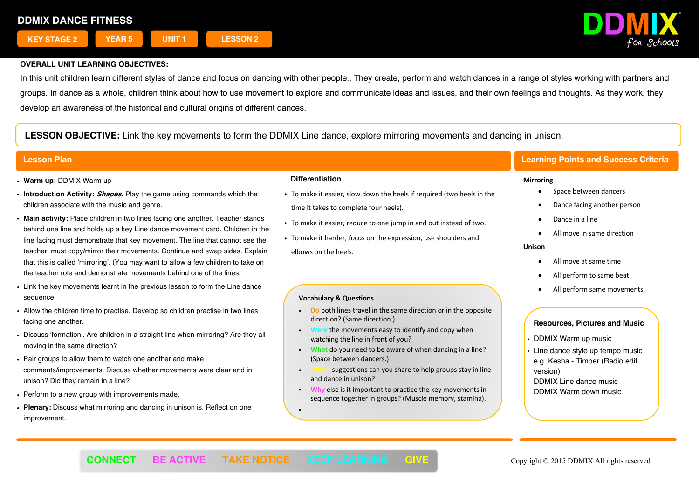

In this unit children learn different styles of dance and focus on dancing with other people., They create, perform and watch dances in a range of styles working with partners and groups. In dance as a whole, children think about how to use movement to explore and communicate ideas and issues, and their own feelings and thoughts. As they work, they develop an awareness of the historical and cultural origins of different dances.

**LESSON OBJECTIVE:** Link the key movements to form the DDMIX Line dance, explore mirroring movements and dancing in unison.

- ! **Warm up:** DDMIX Warm up
- ! **Introduction Activity: Shapes.** Play the game using commands which the children associate with the music and genre.
- **Main activity:** Place children in two lines facing one another. Teacher stands behind one line and holds up a key Line dance movement card. Children in the line facing must demonstrate that key movement. The line that cannot see the teacher, must copy/mirror their movements. Continue and swap sides. Explain that this is called 'mirroring'. (You may want to allow a few children to take on the teacher role and demonstrate movements behind one of the lines.
- . Link the key movements learnt in the previous lesson to form the Line dance sequence.
- ! Allow the children time to practise. Develop so children practise in two lines facing one another.
- ! Discuss 'formation'. Are children in a straight line when mirroring? Are they all moving in the same direction?
- ! Pair groups to allow them to watch one another and make comments/improvements. Discuss whether movements were clear and in unison? Did they remain in a line?
- . Perform to a new group with improvements made.
- ! **Plenary:** Discuss what mirroring and dancing in unison is. Reflect on one improvement.

## **Differentiation**

- ! To make it easier, slow down the heels if required (two heels in the time it takes to complete four heels).
- ! To make it easier, reduce to one jump in and out instead of two.
- ! To make it harder, focus on the expression, use shoulders and elbows on the heels.

## **Vocabulary & Questions**

- ! **Do** both lines travel in the same direction or in the opposite direction? (Same direction.)
- **Were** the movements easy to identify and copy when watching the line in front of you?
- ! **What** do you need to be aware of when dancing in a line? (Space between dancers.)
- suggestions can you share to help groups stay in line and dance in unison?
- **Why** else is it important to practice the key movements in sequence together in groups? (Muscle memory, stamina).

## **Lesson Plan Learning Points and Success Criteria**

### **Mirroring**

- Space between dancers
- Dance facing another person
- Dance in a line
- All move in same direction

#### **Unison**

- All move at same time
- All perform to same beat
- All perform same movements

## **Resources, Pictures and Music**

- ! DDMIX Warm up music
- Line dance style up tempo music e.g. Kesha - Timber (Radio edit version) DDMIX Line dance music DDMIX Warm down music

**.**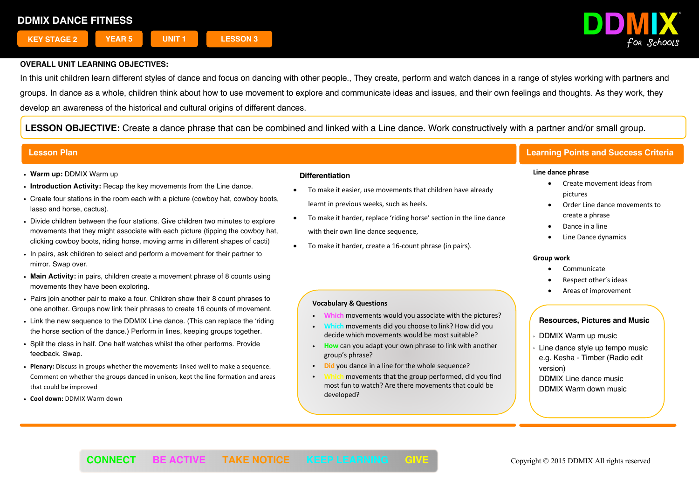

In this unit children learn different styles of dance and focus on dancing with other people., They create, perform and watch dances in a range of styles working with partners and groups. In dance as a whole, children think about how to use movement to explore and communicate ideas and issues, and their own feelings and thoughts. As they work, they develop an awareness of the historical and cultural origins of different dances.

**LESSON OBJECTIVE:** Create a dance phrase that can be combined and linked with a Line dance. Work constructively with a partner and/or small group.

- ! **Warm up:** DDMIX Warm up
- ! **Introduction Activity:** Recap the key movements from the Line dance.
- . Create four stations in the room each with a picture (cowboy hat, cowboy boots, lasso and horse, cactus).
- ! Divide children between the four stations. Give children two minutes to explore movements that they might associate with each picture (tipping the cowboy hat, clicking cowboy boots, riding horse, moving arms in different shapes of cacti)
- ! In pairs, ask children to select and perform a movement for their partner to mirror. Swap over.
- ! **Main Activity:** in pairs, children create a movement phrase of 8 counts using movements they have been exploring.
- ! Pairs join another pair to make a four. Children show their 8 count phrases to one another. Groups now link their phrases to create 16 counts of movement.
- ! Link the new sequence to the DDMIX Line dance. (This can replace the 'riding the horse section of the dance.) Perform in lines, keeping groups together.
- ! Split the class in half. One half watches whilst the other performs. Provide feedback. Swap.
- ! **Plenary:** Discuss in groups whether the movements linked well to make a sequence. Comment on whether the groups danced in unison, kept the line formation and areas that could be improved
- ! **Cool down:** DDMIX Warm down

## **Differentiation**

- To make it easier, use movements that children have already learnt in previous weeks, such as heels.
- To make it harder, replace 'riding horse' section in the line dance with their own line dance sequence,
- To make it harder, create a 16-count phrase (in pairs).

## **Vocabulary & Questions**

- ! **Which** movements would you associate with the pictures?
- ! **Which** movements did you choose to link? How did you decide which movements would be most suitable?
- ! **How** can you adapt your own phrase to link with another group's phrase?
- ! **Did** you dance in a line for the whole sequence?
- movements that the group performed, did you find most fun to watch? Are there movements that could be developed?

Ī

## **Lesson Plan Learning Points and Success Criteria**

### **Line dance phrase**

- Create movement ideas from pictures
- Order Line dance movements to create a phrase
- Dance in a line
- Line Dance dynamics

### **Group work**

- **Communicate**
- Respect other's ideas
- Areas of improvement

- ! DDMIX Warm up music
- $\cdot$  Line dance style up tempo music e.g. Kesha - Timber (Radio edit version)
- DDMIX Line dance music DDMIX Warm down music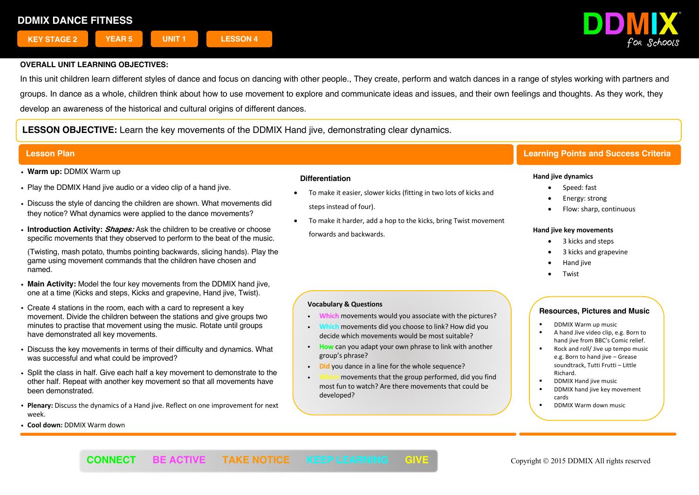

In this unit children learn different styles of dance and focus on dancing with other people., They create, perform and watch dances in a range of styles working with partners and groups. In dance as a whole, children think about how to use movement to explore and communicate ideas and issues, and their own feelings and thoughts. As they work, they develop an awareness of the historical and cultural origins of different dances.

**LESSON OBJECTIVE:** Learn the key movements of the DDMIX Hand jive, demonstrating clear dynamics.

- ! **Warm up:** DDMIX Warm up
- . Play the DDMIX Hand jive audio or a video clip of a hand jive.
- . Discuss the style of dancing the children are shown. What movements did they notice? What dynamics were applied to the dance movements?
- ! **Introduction Activity: Shapes:** Ask the children to be creative or choose specific movements that they observed to perform to the beat of the music.

(Twisting, mash potato, thumbs pointing backwards, slicing hands). Play the game using movement commands that the children have chosen and named.

- ! **Main Activity:** Model the four key movements from the DDMIX hand jive, one at a time (Kicks and steps, Kicks and grapevine, Hand jive, Twist).
- Create 4 stations in the room, each with a card to represent a key movement. Divide the children between the stations and give groups two minutes to practise that movement using the music. Rotate until groups have demonstrated all key movements.
- . Discuss the key movements in terms of their difficulty and dynamics. What was successful and what could be improved?
- . Split the class in half. Give each half a key movement to demonstrate to the other half. Repeat with another key movement so that all movements have been demonstrated.
- ! **Plenary:** Discuss the dynamics of a Hand jive. Reflect on one improvement for next week.
- ! **Cool down:** DDMIX Warm down

## **Differentiation**

- To make it easier, slower kicks (fitting in two lots of kicks and steps instead of four).
- To make it harder, add a hop to the kicks, bring Twist movement forwards and backwards.

# **Vocabulary & Questions**

- ! **Which** movements would you associate with the pictures?
- ! **Which** movements did you choose to link? How did you decide which movements would be most suitable?
- ! **How** can you adapt your own phrase to link with another group's phrase?
- **Did** you dance in a line for the whole sequence?
- movements that the group performed, did you find most fun to watch? Are there movements that could be developed?

## **Lesson Plan Learning Points and Success Criteria**

### **Hand jive dynamics**

- Speed: fast
- Energy: strong
- Flow: sharp, continuous

### **Hand jive key movements**

- 3 kicks and steps
- 3 kicks and grapevine
- Hand jive
- **Twist**

- § DDMIX Warm up music
- § A hand Jive video clip, e.g. Born to hand jive from BBC's Comic relief.
- § Rock and roll/ Jive up tempo music e.g. Born to hand jive – Grease soundtrack, Tutti Frutti – Little Richard.
- § DDMIX Hand jive music
- DDMIX hand jive key movement cards
- § DDMIX Warm down music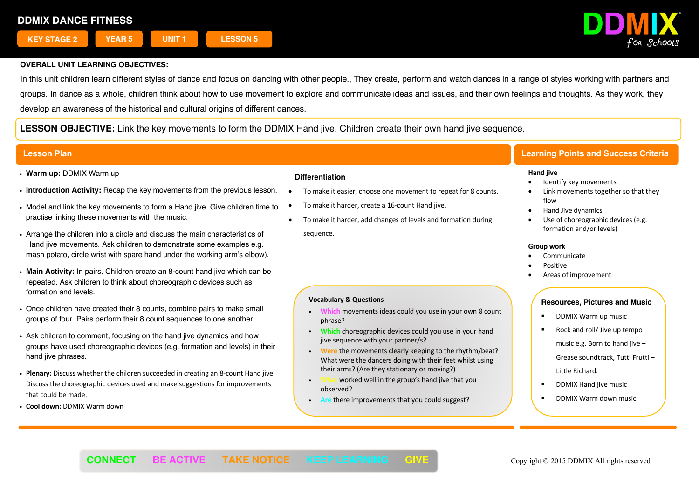

In this unit children learn different styles of dance and focus on dancing with other people., They create, perform and watch dances in a range of styles working with partners and groups. In dance as a whole, children think about how to use movement to explore and communicate ideas and issues, and their own feelings and thoughts. As they work, they develop an awareness of the historical and cultural origins of different dances.

**LESSON OBJECTIVE:** Link the key movements to form the DDMIX Hand jive. Children create their own hand jive sequence.

## **Lesson Plan Learning Points and Success Criteria**

- ! **Warm up:** DDMIX Warm up
- ! **Introduction Activity:** Recap the key movements from the previous lesson.
- . Model and link the key movements to form a Hand jive. Give children time to practise linking these movements with the music.
- ! Arrange the children into a circle and discuss the main characteristics of Hand jive movements. Ask children to demonstrate some examples e.g. mash potato, circle wrist with spare hand under the working arm's elbow).
- ! **Main Activity:** In pairs. Children create an 8-count hand jive which can be repeated. Ask children to think about choreographic devices such as formation and levels.
- . Once children have created their 8 counts, combine pairs to make small groups of four. Pairs perform their 8 count sequences to one another.
- . Ask children to comment, focusing on the hand live dynamics and how groups have used choreographic devices (e.g. formation and levels) in their hand jive phrases.
- ! **Plenary:** Discuss whether the children succeeded in creating an 8-count Hand jive. Discuss the choreographic devices used and make suggestions for improvements that could be made.
- ! **Cool down:** DDMIX Warm down

## **Differentiation**

- To make it easier, choose one movement to repeat for 8 counts.
- To make it harder, create a 16-count Hand jive,

**Vocabulary & Questions**

phrase?

observed?

• To make it harder, add changes of levels and formation during sequence.

! **Which** movements ideas could you use in your own 8 count

! **Which** choreographic devices could you use in your hand

! **Were** the movements clearly keeping to the rhythm/beat? What were the dancers doing with their feet whilst using

their arms? (Are they stationary or moving?) ! **What** worked well in the group's hand jive that you

! **Are** there improvements that you could suggest?

jive sequence with your partner/s?

 $\overline{a}$ 

# **Hand jive**

- Identify key movements
- Link movements together so that they flow
- Hand Jive dynamics
- Use of choreographic devices (e.g. formation and/or levels)

### **Group work**

- Communicate
- Positive
- Areas of improvement

## **Resources, Pictures and Music**

- § DDMIX Warm up music
- § Rock and roll/ Jive up tempo music e.g. Born to hand jive -Grease soundtrack, Tutti Frutti – Little Richard.
- § DDMIX Hand jive music
- § DDMIX Warm down music

**CONNECT BE ACTIVE TAKE NOTICE KEEP LEARNING GIVE <b>State Constant Convergence** 2015 DDMIX All rights reserved